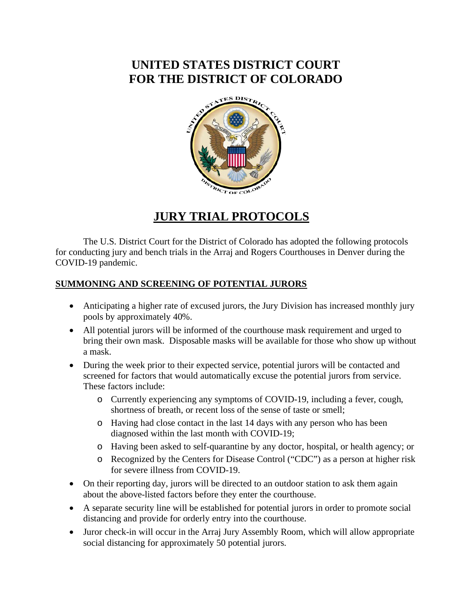# **UNITED STATES DISTRICT COURT FOR THE DISTRICT OF COLORADO**



## **JURY TRIAL PROTOCOLS**

The U.S. District Court for the District of Colorado has adopted the following protocols for conducting jury and bench trials in the Arraj and Rogers Courthouses in Denver during the COVID-19 pandemic.

### **SUMMONING AND SCREENING OF POTENTIAL JURORS**

- Anticipating a higher rate of excused jurors, the Jury Division has increased monthly jury pools by approximately 40%.
- All potential jurors will be informed of the courthouse mask requirement and urged to bring their own mask. Disposable masks will be available for those who show up without a mask.
- During the week prior to their expected service, potential jurors will be contacted and screened for factors that would automatically excuse the potential jurors from service. These factors include:
	- o Currently experiencing any symptoms of COVID-19, including a fever, cough, shortness of breath, or recent loss of the sense of taste or smell;
	- o Having had close contact in the last 14 days with any person who has been diagnosed within the last month with COVID-19;
	- o Having been asked to self-quarantine by any doctor, hospital, or health agency; or
	- o Recognized by the Centers for Disease Control ("CDC") as a person at higher risk for severe illness from COVID-19.
- On their reporting day, jurors will be directed to an outdoor station to ask them again about the above-listed factors before they enter the courthouse.
- A separate security line will be established for potential jurors in order to promote social distancing and provide for orderly entry into the courthouse.
- Juror check-in will occur in the Arraj Jury Assembly Room, which will allow appropriate social distancing for approximately 50 potential jurors.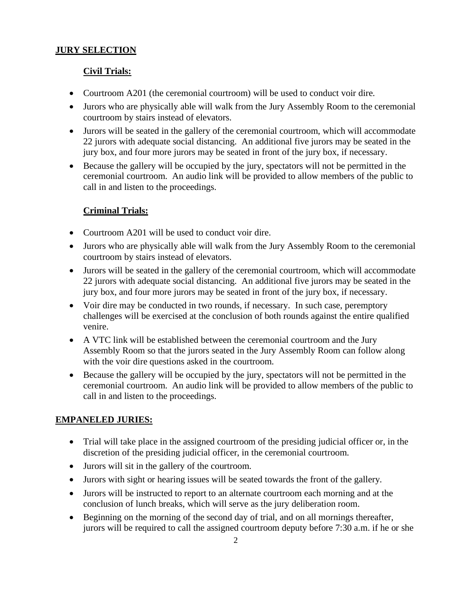#### **JURY SELECTION**

#### **Civil Trials:**

- Courtroom A201 (the ceremonial courtroom) will be used to conduct voir dire.
- Jurors who are physically able will walk from the Jury Assembly Room to the ceremonial courtroom by stairs instead of elevators.
- Jurors will be seated in the gallery of the ceremonial courtroom, which will accommodate 22 jurors with adequate social distancing. An additional five jurors may be seated in the jury box, and four more jurors may be seated in front of the jury box, if necessary.
- Because the gallery will be occupied by the jury, spectators will not be permitted in the ceremonial courtroom. An audio link will be provided to allow members of the public to call in and listen to the proceedings.

#### **Criminal Trials:**

- Courtroom A201 will be used to conduct voir dire.
- Jurors who are physically able will walk from the Jury Assembly Room to the ceremonial courtroom by stairs instead of elevators.
- Jurors will be seated in the gallery of the ceremonial courtroom, which will accommodate 22 jurors with adequate social distancing. An additional five jurors may be seated in the jury box, and four more jurors may be seated in front of the jury box, if necessary.
- Voir dire may be conducted in two rounds, if necessary. In such case, peremptory challenges will be exercised at the conclusion of both rounds against the entire qualified venire.
- A VTC link will be established between the ceremonial courtroom and the Jury Assembly Room so that the jurors seated in the Jury Assembly Room can follow along with the voir dire questions asked in the courtroom.
- Because the gallery will be occupied by the jury, spectators will not be permitted in the ceremonial courtroom. An audio link will be provided to allow members of the public to call in and listen to the proceedings.

### **EMPANELED JURIES:**

- Trial will take place in the assigned courtroom of the presiding judicial officer or, in the discretion of the presiding judicial officer, in the ceremonial courtroom.
- Jurors will sit in the gallery of the courtroom.
- Jurors with sight or hearing issues will be seated towards the front of the gallery.
- Jurors will be instructed to report to an alternate courtroom each morning and at the conclusion of lunch breaks, which will serve as the jury deliberation room.
- Beginning on the morning of the second day of trial, and on all mornings thereafter, jurors will be required to call the assigned courtroom deputy before 7:30 a.m. if he or she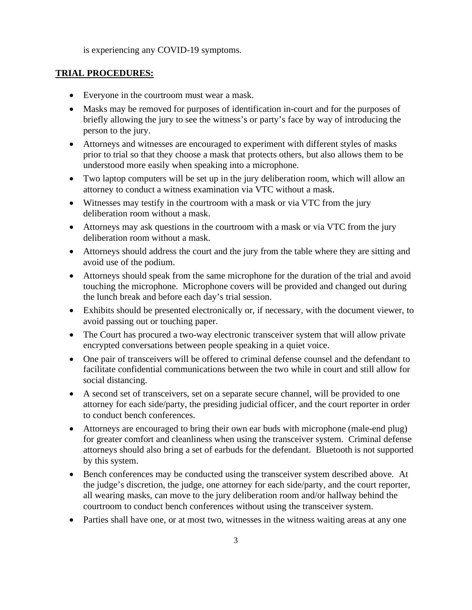is experiencing any COVID-19 symptoms.

#### **TRIAL PROCEDURES:**

- Everyone in the courtroom must wear a mask.
- Masks may be removed for purposes of identification in-court and for the purposes of briefly allowing the jury to see the witness's or party's face by way of introducing the person to the jury.
- Attorneys and witnesses are encouraged to experiment with different styles of masks prior to trial so that they choose a mask that protects others, but also allows them to be understood more easily when speaking into a microphone.
- Two laptop computers will be set up in the jury deliberation room, which will allow an attorney to conduct a witness examination via VTC without a mask.
- Witnesses may testify in the courtroom with a mask or via VTC from the jury deliberation room without a mask.
- Attorneys may ask questions in the courtroom with a mask or via VTC from the jury deliberation room without a mask.
- Attorneys should address the court and the jury from the table where they are sitting and avoid use of the podium.
- Attorneys should speak from the same microphone for the duration of the trial and avoid touching the microphone. Microphone covers will be provided and changed out during the lunch break and before each day's trial session.
- Exhibits should be presented electronically or, if necessary, with the document viewer, to avoid passing out or touching paper.
- The Court has procured a two-way electronic transceiver system that will allow private encrypted conversations between people speaking in a quiet voice.
- One pair of transceivers will be offered to criminal defense counsel and the defendant to facilitate confidential communications between the two while in court and still allow for social distancing.
- A second set of transceivers, set on a separate secure channel, will be provided to one attorney for each side/party, the presiding judicial officer, and the court reporter in order to conduct bench conferences.
- Attorneys are encouraged to bring their own ear buds with microphone (male-end plug) for greater comfort and cleanliness when using the transceiver system. Criminal defense attorneys should also bring a set of earbuds for the defendant. Bluetooth is not supported by this system.
- Bench conferences may be conducted using the transceiver system described above. At the judge's discretion, the judge, one attorney for each side/party, and the court reporter, all wearing masks, can move to the jury deliberation room and/or hallway behind the courtroom to conduct bench conferences without using the transceiver system.
- Parties shall have one, or at most two, witnesses in the witness waiting areas at any one